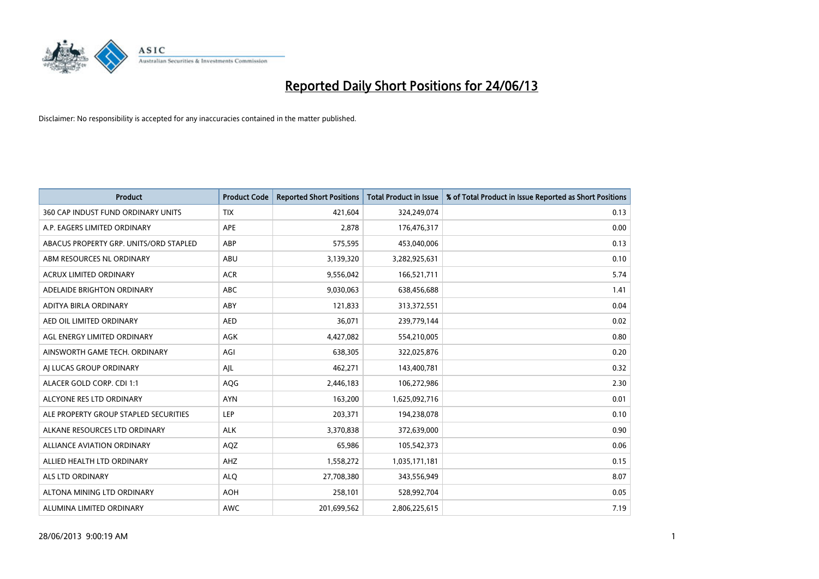

| <b>Product</b>                         | <b>Product Code</b> | <b>Reported Short Positions</b> | <b>Total Product in Issue</b> | % of Total Product in Issue Reported as Short Positions |
|----------------------------------------|---------------------|---------------------------------|-------------------------------|---------------------------------------------------------|
| 360 CAP INDUST FUND ORDINARY UNITS     | <b>TIX</b>          | 421,604                         | 324,249,074                   | 0.13                                                    |
| A.P. EAGERS LIMITED ORDINARY           | APE                 | 2,878                           | 176,476,317                   | 0.00                                                    |
| ABACUS PROPERTY GRP. UNITS/ORD STAPLED | ABP                 | 575,595                         | 453,040,006                   | 0.13                                                    |
| ABM RESOURCES NL ORDINARY              | ABU                 | 3,139,320                       | 3,282,925,631                 | 0.10                                                    |
| <b>ACRUX LIMITED ORDINARY</b>          | <b>ACR</b>          | 9,556,042                       | 166,521,711                   | 5.74                                                    |
| ADELAIDE BRIGHTON ORDINARY             | <b>ABC</b>          | 9,030,063                       | 638,456,688                   | 1.41                                                    |
| ADITYA BIRLA ORDINARY                  | ABY                 | 121,833                         | 313,372,551                   | 0.04                                                    |
| AED OIL LIMITED ORDINARY               | <b>AED</b>          | 36,071                          | 239,779,144                   | 0.02                                                    |
| AGL ENERGY LIMITED ORDINARY            | <b>AGK</b>          | 4,427,082                       | 554,210,005                   | 0.80                                                    |
| AINSWORTH GAME TECH. ORDINARY          | AGI                 | 638,305                         | 322,025,876                   | 0.20                                                    |
| AI LUCAS GROUP ORDINARY                | AJL                 | 462,271                         | 143,400,781                   | 0.32                                                    |
| ALACER GOLD CORP. CDI 1:1              | AQG                 | 2,446,183                       | 106,272,986                   | 2.30                                                    |
| ALCYONE RES LTD ORDINARY               | <b>AYN</b>          | 163,200                         | 1,625,092,716                 | 0.01                                                    |
| ALE PROPERTY GROUP STAPLED SECURITIES  | LEP                 | 203,371                         | 194,238,078                   | 0.10                                                    |
| ALKANE RESOURCES LTD ORDINARY          | <b>ALK</b>          | 3,370,838                       | 372,639,000                   | 0.90                                                    |
| ALLIANCE AVIATION ORDINARY             | AQZ                 | 65,986                          | 105,542,373                   | 0.06                                                    |
| ALLIED HEALTH LTD ORDINARY             | AHZ                 | 1,558,272                       | 1,035,171,181                 | 0.15                                                    |
| <b>ALS LTD ORDINARY</b>                | <b>ALQ</b>          | 27,708,380                      | 343,556,949                   | 8.07                                                    |
| ALTONA MINING LTD ORDINARY             | <b>AOH</b>          | 258,101                         | 528,992,704                   | 0.05                                                    |
| ALUMINA LIMITED ORDINARY               | <b>AWC</b>          | 201,699,562                     | 2,806,225,615                 | 7.19                                                    |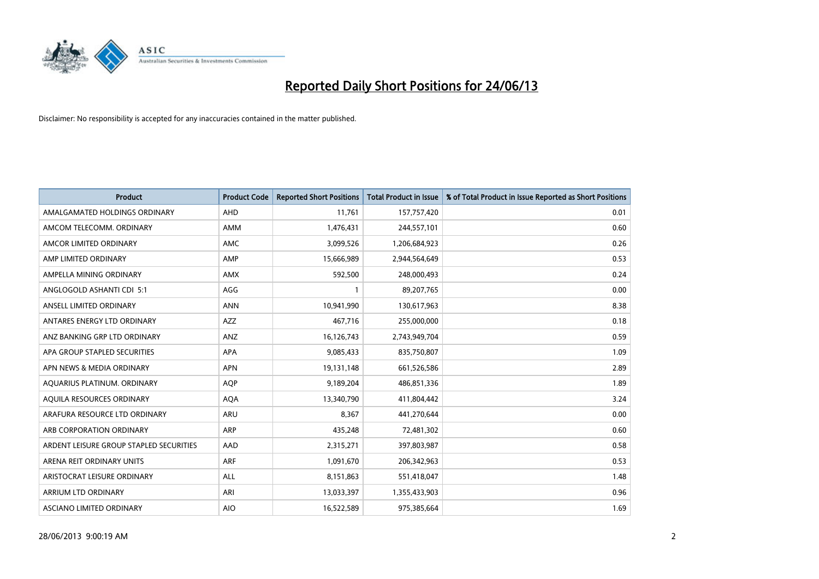

| <b>Product</b>                          | <b>Product Code</b> | <b>Reported Short Positions</b> | <b>Total Product in Issue</b> | % of Total Product in Issue Reported as Short Positions |
|-----------------------------------------|---------------------|---------------------------------|-------------------------------|---------------------------------------------------------|
| AMALGAMATED HOLDINGS ORDINARY           | AHD                 | 11,761                          | 157,757,420                   | 0.01                                                    |
| AMCOM TELECOMM. ORDINARY                | AMM                 | 1,476,431                       | 244,557,101                   | 0.60                                                    |
| AMCOR LIMITED ORDINARY                  | AMC                 | 3,099,526                       | 1,206,684,923                 | 0.26                                                    |
| AMP LIMITED ORDINARY                    | AMP                 | 15,666,989                      | 2,944,564,649                 | 0.53                                                    |
| AMPELLA MINING ORDINARY                 | <b>AMX</b>          | 592,500                         | 248,000,493                   | 0.24                                                    |
| ANGLOGOLD ASHANTI CDI 5:1               | AGG                 | $\mathbf{1}$                    | 89,207,765                    | 0.00                                                    |
| ANSELL LIMITED ORDINARY                 | <b>ANN</b>          | 10,941,990                      | 130,617,963                   | 8.38                                                    |
| ANTARES ENERGY LTD ORDINARY             | AZZ                 | 467,716                         | 255,000,000                   | 0.18                                                    |
| ANZ BANKING GRP LTD ORDINARY            | ANZ                 | 16,126,743                      | 2,743,949,704                 | 0.59                                                    |
| APA GROUP STAPLED SECURITIES            | <b>APA</b>          | 9,085,433                       | 835,750,807                   | 1.09                                                    |
| APN NEWS & MEDIA ORDINARY               | <b>APN</b>          | 19,131,148                      | 661,526,586                   | 2.89                                                    |
| AQUARIUS PLATINUM. ORDINARY             | <b>AOP</b>          | 9,189,204                       | 486,851,336                   | 1.89                                                    |
| AQUILA RESOURCES ORDINARY               | <b>AQA</b>          | 13,340,790                      | 411,804,442                   | 3.24                                                    |
| ARAFURA RESOURCE LTD ORDINARY           | ARU                 | 8,367                           | 441,270,644                   | 0.00                                                    |
| ARB CORPORATION ORDINARY                | ARP                 | 435,248                         | 72,481,302                    | 0.60                                                    |
| ARDENT LEISURE GROUP STAPLED SECURITIES | AAD                 | 2,315,271                       | 397,803,987                   | 0.58                                                    |
| ARENA REIT ORDINARY UNITS               | ARF                 | 1,091,670                       | 206,342,963                   | 0.53                                                    |
| ARISTOCRAT LEISURE ORDINARY             | ALL                 | 8,151,863                       | 551,418,047                   | 1.48                                                    |
| ARRIUM LTD ORDINARY                     | ARI                 | 13,033,397                      | 1,355,433,903                 | 0.96                                                    |
| ASCIANO LIMITED ORDINARY                | <b>AIO</b>          | 16,522,589                      | 975,385,664                   | 1.69                                                    |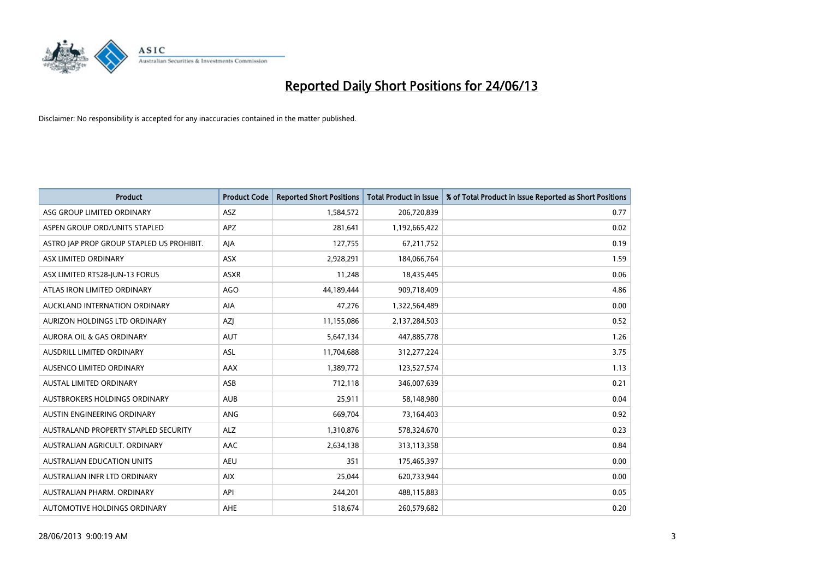

| <b>Product</b>                            | <b>Product Code</b> | <b>Reported Short Positions</b> | <b>Total Product in Issue</b> | % of Total Product in Issue Reported as Short Positions |
|-------------------------------------------|---------------------|---------------------------------|-------------------------------|---------------------------------------------------------|
| ASG GROUP LIMITED ORDINARY                | ASZ                 | 1,584,572                       | 206,720,839                   | 0.77                                                    |
| ASPEN GROUP ORD/UNITS STAPLED             | APZ                 | 281,641                         | 1,192,665,422                 | 0.02                                                    |
| ASTRO JAP PROP GROUP STAPLED US PROHIBIT. | AJA                 | 127,755                         | 67,211,752                    | 0.19                                                    |
| ASX LIMITED ORDINARY                      | ASX                 | 2,928,291                       | 184,066,764                   | 1.59                                                    |
| ASX LIMITED RTS28-JUN-13 FORUS            | <b>ASXR</b>         | 11,248                          | 18,435,445                    | 0.06                                                    |
| ATLAS IRON LIMITED ORDINARY               | <b>AGO</b>          | 44,189,444                      | 909,718,409                   | 4.86                                                    |
| AUCKLAND INTERNATION ORDINARY             | AIA                 | 47,276                          | 1,322,564,489                 | 0.00                                                    |
| AURIZON HOLDINGS LTD ORDINARY             | AZJ                 | 11,155,086                      | 2,137,284,503                 | 0.52                                                    |
| <b>AURORA OIL &amp; GAS ORDINARY</b>      | <b>AUT</b>          | 5,647,134                       | 447,885,778                   | 1.26                                                    |
| AUSDRILL LIMITED ORDINARY                 | <b>ASL</b>          | 11,704,688                      | 312,277,224                   | 3.75                                                    |
| AUSENCO LIMITED ORDINARY                  | AAX                 | 1,389,772                       | 123,527,574                   | 1.13                                                    |
| AUSTAL LIMITED ORDINARY                   | ASB                 | 712,118                         | 346,007,639                   | 0.21                                                    |
| <b>AUSTBROKERS HOLDINGS ORDINARY</b>      | <b>AUB</b>          | 25,911                          | 58,148,980                    | 0.04                                                    |
| AUSTIN ENGINEERING ORDINARY               | <b>ANG</b>          | 669,704                         | 73,164,403                    | 0.92                                                    |
| AUSTRALAND PROPERTY STAPLED SECURITY      | <b>ALZ</b>          | 1,310,876                       | 578,324,670                   | 0.23                                                    |
| AUSTRALIAN AGRICULT. ORDINARY             | AAC                 | 2,634,138                       | 313,113,358                   | 0.84                                                    |
| <b>AUSTRALIAN EDUCATION UNITS</b>         | <b>AEU</b>          | 351                             | 175,465,397                   | 0.00                                                    |
| AUSTRALIAN INFR LTD ORDINARY              | <b>AIX</b>          | 25,044                          | 620,733,944                   | 0.00                                                    |
| AUSTRALIAN PHARM, ORDINARY                | API                 | 244,201                         | 488,115,883                   | 0.05                                                    |
| AUTOMOTIVE HOLDINGS ORDINARY              | <b>AHE</b>          | 518,674                         | 260,579,682                   | 0.20                                                    |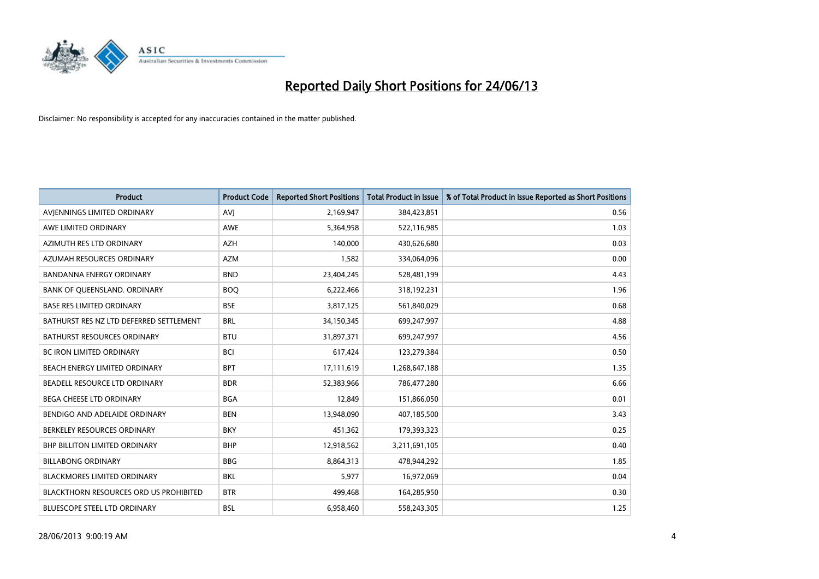

| <b>Product</b>                                | <b>Product Code</b> | <b>Reported Short Positions</b> | <b>Total Product in Issue</b> | % of Total Product in Issue Reported as Short Positions |
|-----------------------------------------------|---------------------|---------------------------------|-------------------------------|---------------------------------------------------------|
| AVIENNINGS LIMITED ORDINARY                   | <b>AVJ</b>          | 2,169,947                       | 384,423,851                   | 0.56                                                    |
| AWE LIMITED ORDINARY                          | AWE                 | 5,364,958                       | 522,116,985                   | 1.03                                                    |
| AZIMUTH RES LTD ORDINARY                      | <b>AZH</b>          | 140,000                         | 430,626,680                   | 0.03                                                    |
| AZUMAH RESOURCES ORDINARY                     | <b>AZM</b>          | 1,582                           | 334,064,096                   | 0.00                                                    |
| <b>BANDANNA ENERGY ORDINARY</b>               | <b>BND</b>          | 23,404,245                      | 528,481,199                   | 4.43                                                    |
| BANK OF QUEENSLAND. ORDINARY                  | <b>BOO</b>          | 6,222,466                       | 318,192,231                   | 1.96                                                    |
| <b>BASE RES LIMITED ORDINARY</b>              | <b>BSE</b>          | 3,817,125                       | 561,840,029                   | 0.68                                                    |
| BATHURST RES NZ LTD DEFERRED SETTLEMENT       | <b>BRL</b>          | 34,150,345                      | 699,247,997                   | 4.88                                                    |
| <b>BATHURST RESOURCES ORDINARY</b>            | <b>BTU</b>          | 31,897,371                      | 699,247,997                   | 4.56                                                    |
| <b>BC IRON LIMITED ORDINARY</b>               | <b>BCI</b>          | 617,424                         | 123,279,384                   | 0.50                                                    |
| BEACH ENERGY LIMITED ORDINARY                 | <b>BPT</b>          | 17,111,619                      | 1,268,647,188                 | 1.35                                                    |
| BEADELL RESOURCE LTD ORDINARY                 | <b>BDR</b>          | 52,383,966                      | 786,477,280                   | 6.66                                                    |
| <b>BEGA CHEESE LTD ORDINARY</b>               | <b>BGA</b>          | 12,849                          | 151,866,050                   | 0.01                                                    |
| BENDIGO AND ADELAIDE ORDINARY                 | <b>BEN</b>          | 13,948,090                      | 407,185,500                   | 3.43                                                    |
| BERKELEY RESOURCES ORDINARY                   | <b>BKY</b>          | 451,362                         | 179,393,323                   | 0.25                                                    |
| <b>BHP BILLITON LIMITED ORDINARY</b>          | <b>BHP</b>          | 12,918,562                      | 3,211,691,105                 | 0.40                                                    |
| <b>BILLABONG ORDINARY</b>                     | <b>BBG</b>          | 8,864,313                       | 478,944,292                   | 1.85                                                    |
| <b>BLACKMORES LIMITED ORDINARY</b>            | <b>BKL</b>          | 5,977                           | 16,972,069                    | 0.04                                                    |
| <b>BLACKTHORN RESOURCES ORD US PROHIBITED</b> | <b>BTR</b>          | 499,468                         | 164,285,950                   | 0.30                                                    |
| BLUESCOPE STEEL LTD ORDINARY                  | <b>BSL</b>          | 6,958,460                       | 558,243,305                   | 1.25                                                    |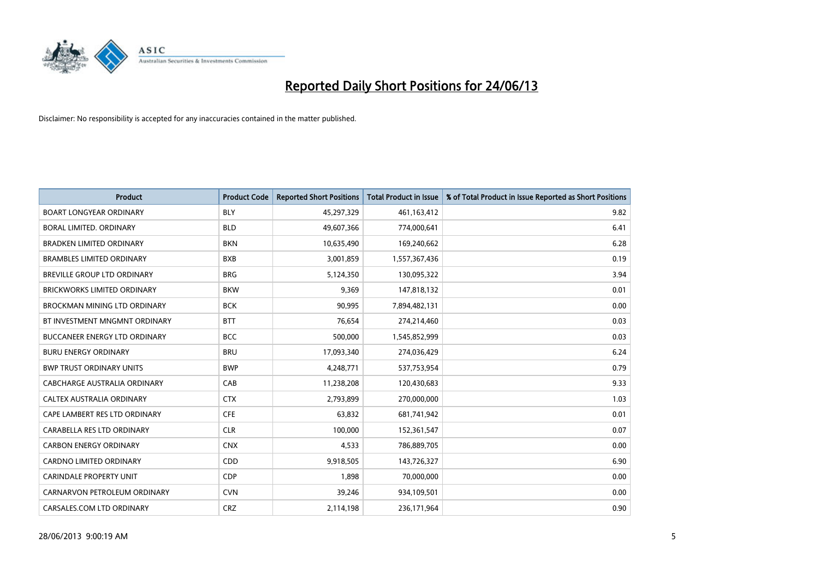

| <b>Product</b>                       | <b>Product Code</b> | <b>Reported Short Positions</b> | <b>Total Product in Issue</b> | % of Total Product in Issue Reported as Short Positions |
|--------------------------------------|---------------------|---------------------------------|-------------------------------|---------------------------------------------------------|
| <b>BOART LONGYEAR ORDINARY</b>       | <b>BLY</b>          | 45,297,329                      | 461,163,412                   | 9.82                                                    |
| BORAL LIMITED. ORDINARY              | <b>BLD</b>          | 49,607,366                      | 774,000,641                   | 6.41                                                    |
| <b>BRADKEN LIMITED ORDINARY</b>      | <b>BKN</b>          | 10,635,490                      | 169,240,662                   | 6.28                                                    |
| <b>BRAMBLES LIMITED ORDINARY</b>     | <b>BXB</b>          | 3,001,859                       | 1,557,367,436                 | 0.19                                                    |
| BREVILLE GROUP LTD ORDINARY          | <b>BRG</b>          | 5,124,350                       | 130,095,322                   | 3.94                                                    |
| <b>BRICKWORKS LIMITED ORDINARY</b>   | <b>BKW</b>          | 9,369                           | 147,818,132                   | 0.01                                                    |
| <b>BROCKMAN MINING LTD ORDINARY</b>  | <b>BCK</b>          | 90,995                          | 7,894,482,131                 | 0.00                                                    |
| BT INVESTMENT MNGMNT ORDINARY        | <b>BTT</b>          | 76,654                          | 274,214,460                   | 0.03                                                    |
| <b>BUCCANEER ENERGY LTD ORDINARY</b> | <b>BCC</b>          | 500,000                         | 1,545,852,999                 | 0.03                                                    |
| <b>BURU ENERGY ORDINARY</b>          | <b>BRU</b>          | 17,093,340                      | 274,036,429                   | 6.24                                                    |
| <b>BWP TRUST ORDINARY UNITS</b>      | <b>BWP</b>          | 4,248,771                       | 537,753,954                   | 0.79                                                    |
| CABCHARGE AUSTRALIA ORDINARY         | CAB                 | 11,238,208                      | 120,430,683                   | 9.33                                                    |
| CALTEX AUSTRALIA ORDINARY            | <b>CTX</b>          | 2,793,899                       | 270,000,000                   | 1.03                                                    |
| CAPE LAMBERT RES LTD ORDINARY        | <b>CFE</b>          | 63,832                          | 681,741,942                   | 0.01                                                    |
| CARABELLA RES LTD ORDINARY           | <b>CLR</b>          | 100,000                         | 152,361,547                   | 0.07                                                    |
| <b>CARBON ENERGY ORDINARY</b>        | <b>CNX</b>          | 4,533                           | 786,889,705                   | 0.00                                                    |
| CARDNO LIMITED ORDINARY              | CDD                 | 9,918,505                       | 143,726,327                   | 6.90                                                    |
| CARINDALE PROPERTY UNIT              | <b>CDP</b>          | 1,898                           | 70,000,000                    | 0.00                                                    |
| CARNARVON PETROLEUM ORDINARY         | <b>CVN</b>          | 39,246                          | 934,109,501                   | 0.00                                                    |
| CARSALES.COM LTD ORDINARY            | <b>CRZ</b>          | 2,114,198                       | 236,171,964                   | 0.90                                                    |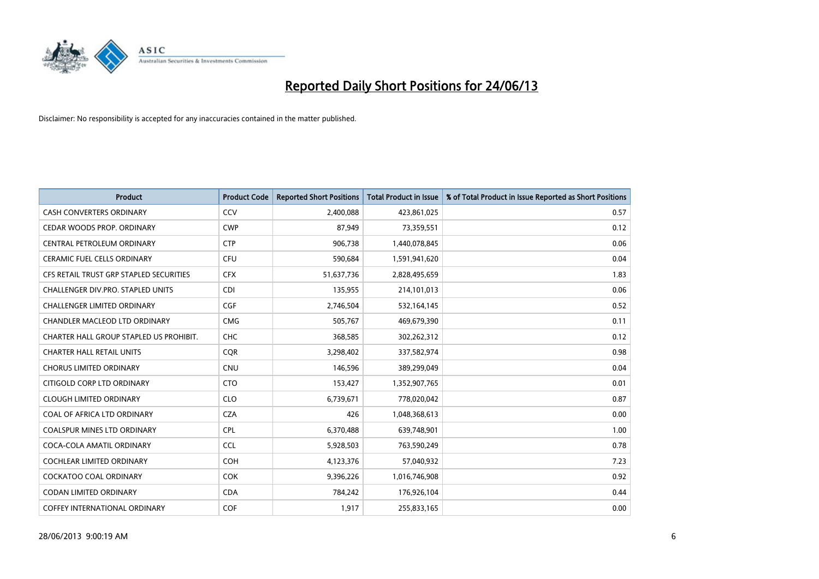

| <b>Product</b>                          | <b>Product Code</b> | <b>Reported Short Positions</b> | <b>Total Product in Issue</b> | % of Total Product in Issue Reported as Short Positions |
|-----------------------------------------|---------------------|---------------------------------|-------------------------------|---------------------------------------------------------|
| <b>CASH CONVERTERS ORDINARY</b>         | CCV                 | 2,400,088                       | 423,861,025                   | 0.57                                                    |
| CEDAR WOODS PROP. ORDINARY              | <b>CWP</b>          | 87,949                          | 73,359,551                    | 0.12                                                    |
| CENTRAL PETROLEUM ORDINARY              | <b>CTP</b>          | 906,738                         | 1,440,078,845                 | 0.06                                                    |
| CERAMIC FUEL CELLS ORDINARY             | <b>CFU</b>          | 590,684                         | 1,591,941,620                 | 0.04                                                    |
| CFS RETAIL TRUST GRP STAPLED SECURITIES | <b>CFX</b>          | 51,637,736                      | 2,828,495,659                 | 1.83                                                    |
| CHALLENGER DIV.PRO. STAPLED UNITS       | <b>CDI</b>          | 135,955                         | 214,101,013                   | 0.06                                                    |
| CHALLENGER LIMITED ORDINARY             | <b>CGF</b>          | 2,746,504                       | 532,164,145                   | 0.52                                                    |
| CHANDLER MACLEOD LTD ORDINARY           | <b>CMG</b>          | 505,767                         | 469,679,390                   | 0.11                                                    |
| CHARTER HALL GROUP STAPLED US PROHIBIT. | <b>CHC</b>          | 368,585                         | 302,262,312                   | 0.12                                                    |
| <b>CHARTER HALL RETAIL UNITS</b>        | <b>COR</b>          | 3,298,402                       | 337,582,974                   | 0.98                                                    |
| <b>CHORUS LIMITED ORDINARY</b>          | <b>CNU</b>          | 146,596                         | 389,299,049                   | 0.04                                                    |
| CITIGOLD CORP LTD ORDINARY              | <b>CTO</b>          | 153,427                         | 1,352,907,765                 | 0.01                                                    |
| <b>CLOUGH LIMITED ORDINARY</b>          | <b>CLO</b>          | 6,739,671                       | 778,020,042                   | 0.87                                                    |
| COAL OF AFRICA LTD ORDINARY             | <b>CZA</b>          | 426                             | 1,048,368,613                 | 0.00                                                    |
| <b>COALSPUR MINES LTD ORDINARY</b>      | <b>CPL</b>          | 6,370,488                       | 639,748,901                   | 1.00                                                    |
| COCA-COLA AMATIL ORDINARY               | <b>CCL</b>          | 5,928,503                       | 763,590,249                   | 0.78                                                    |
| <b>COCHLEAR LIMITED ORDINARY</b>        | <b>COH</b>          | 4,123,376                       | 57,040,932                    | 7.23                                                    |
| COCKATOO COAL ORDINARY                  | <b>COK</b>          | 9,396,226                       | 1,016,746,908                 | 0.92                                                    |
| <b>CODAN LIMITED ORDINARY</b>           | <b>CDA</b>          | 784,242                         | 176,926,104                   | 0.44                                                    |
| COFFEY INTERNATIONAL ORDINARY           | COF                 | 1,917                           | 255,833,165                   | 0.00                                                    |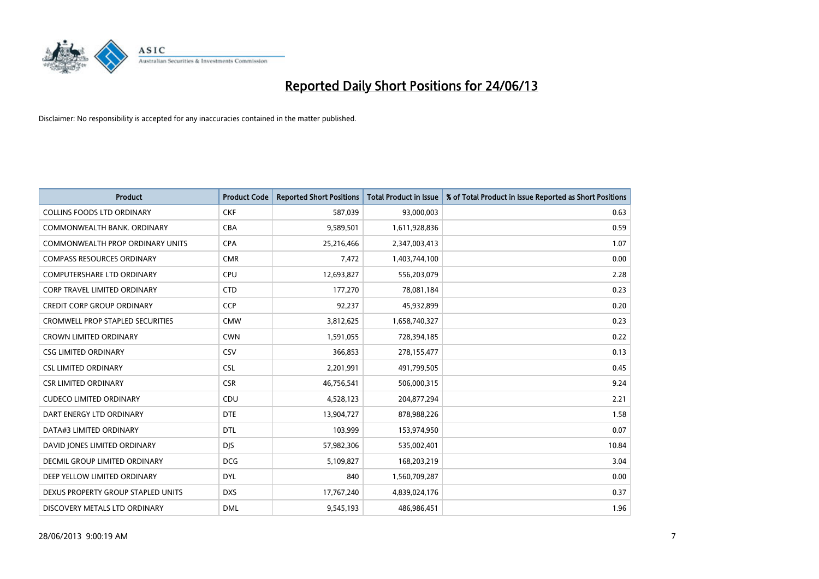

| <b>Product</b>                          | <b>Product Code</b> | <b>Reported Short Positions</b> | <b>Total Product in Issue</b> | % of Total Product in Issue Reported as Short Positions |
|-----------------------------------------|---------------------|---------------------------------|-------------------------------|---------------------------------------------------------|
| <b>COLLINS FOODS LTD ORDINARY</b>       | <b>CKF</b>          | 587,039                         | 93,000,003                    | 0.63                                                    |
| COMMONWEALTH BANK, ORDINARY             | <b>CBA</b>          | 9,589,501                       | 1,611,928,836                 | 0.59                                                    |
| <b>COMMONWEALTH PROP ORDINARY UNITS</b> | <b>CPA</b>          | 25,216,466                      | 2,347,003,413                 | 1.07                                                    |
| <b>COMPASS RESOURCES ORDINARY</b>       | <b>CMR</b>          | 7,472                           | 1,403,744,100                 | 0.00                                                    |
| <b>COMPUTERSHARE LTD ORDINARY</b>       | <b>CPU</b>          | 12,693,827                      | 556,203,079                   | 2.28                                                    |
| CORP TRAVEL LIMITED ORDINARY            | <b>CTD</b>          | 177,270                         | 78,081,184                    | 0.23                                                    |
| <b>CREDIT CORP GROUP ORDINARY</b>       | <b>CCP</b>          | 92,237                          | 45,932,899                    | 0.20                                                    |
| <b>CROMWELL PROP STAPLED SECURITIES</b> | <b>CMW</b>          | 3,812,625                       | 1,658,740,327                 | 0.23                                                    |
| <b>CROWN LIMITED ORDINARY</b>           | <b>CWN</b>          | 1,591,055                       | 728,394,185                   | 0.22                                                    |
| <b>CSG LIMITED ORDINARY</b>             | CSV                 | 366,853                         | 278,155,477                   | 0.13                                                    |
| <b>CSL LIMITED ORDINARY</b>             | <b>CSL</b>          | 2,201,991                       | 491,799,505                   | 0.45                                                    |
| <b>CSR LIMITED ORDINARY</b>             | <b>CSR</b>          | 46,756,541                      | 506,000,315                   | 9.24                                                    |
| <b>CUDECO LIMITED ORDINARY</b>          | CDU                 | 4,528,123                       | 204,877,294                   | 2.21                                                    |
| DART ENERGY LTD ORDINARY                | <b>DTE</b>          | 13,904,727                      | 878,988,226                   | 1.58                                                    |
| DATA#3 LIMITED ORDINARY                 | <b>DTL</b>          | 103,999                         | 153,974,950                   | 0.07                                                    |
| DAVID JONES LIMITED ORDINARY            | <b>DIS</b>          | 57,982,306                      | 535,002,401                   | 10.84                                                   |
| DECMIL GROUP LIMITED ORDINARY           | <b>DCG</b>          | 5,109,827                       | 168,203,219                   | 3.04                                                    |
| DEEP YELLOW LIMITED ORDINARY            | <b>DYL</b>          | 840                             | 1,560,709,287                 | 0.00                                                    |
| DEXUS PROPERTY GROUP STAPLED UNITS      | <b>DXS</b>          | 17,767,240                      | 4,839,024,176                 | 0.37                                                    |
| DISCOVERY METALS LTD ORDINARY           | <b>DML</b>          | 9,545,193                       | 486,986,451                   | 1.96                                                    |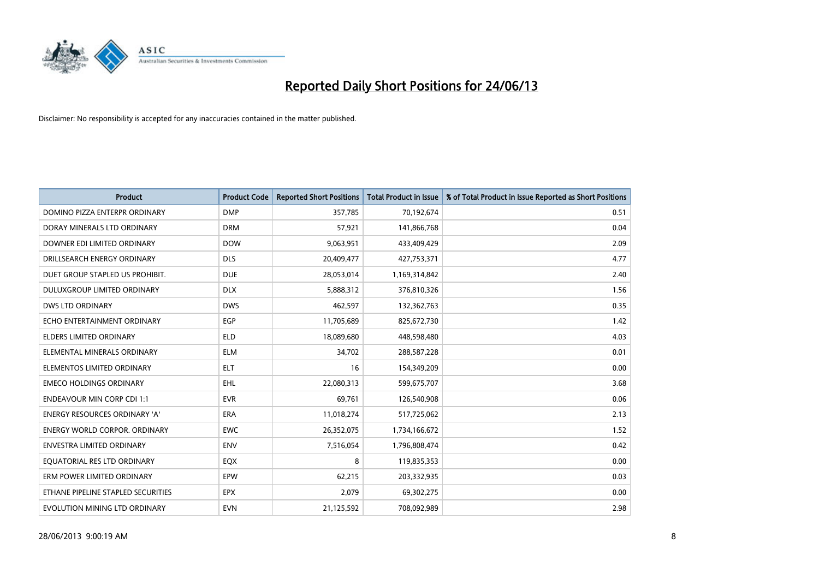

| <b>Product</b>                       | <b>Product Code</b> | <b>Reported Short Positions</b> | <b>Total Product in Issue</b> | % of Total Product in Issue Reported as Short Positions |
|--------------------------------------|---------------------|---------------------------------|-------------------------------|---------------------------------------------------------|
| DOMINO PIZZA ENTERPR ORDINARY        | <b>DMP</b>          | 357,785                         | 70,192,674                    | 0.51                                                    |
| DORAY MINERALS LTD ORDINARY          | <b>DRM</b>          | 57,921                          | 141,866,768                   | 0.04                                                    |
| DOWNER EDI LIMITED ORDINARY          | <b>DOW</b>          | 9,063,951                       | 433,409,429                   | 2.09                                                    |
| DRILLSEARCH ENERGY ORDINARY          | <b>DLS</b>          | 20,409,477                      | 427,753,371                   | 4.77                                                    |
| DUET GROUP STAPLED US PROHIBIT.      | <b>DUE</b>          | 28,053,014                      | 1,169,314,842                 | 2.40                                                    |
| DULUXGROUP LIMITED ORDINARY          | <b>DLX</b>          | 5,888,312                       | 376,810,326                   | 1.56                                                    |
| <b>DWS LTD ORDINARY</b>              | <b>DWS</b>          | 462,597                         | 132,362,763                   | 0.35                                                    |
| ECHO ENTERTAINMENT ORDINARY          | <b>EGP</b>          | 11,705,689                      | 825,672,730                   | 1.42                                                    |
| <b>ELDERS LIMITED ORDINARY</b>       | <b>ELD</b>          | 18,089,680                      | 448,598,480                   | 4.03                                                    |
| ELEMENTAL MINERALS ORDINARY          | <b>ELM</b>          | 34,702                          | 288,587,228                   | 0.01                                                    |
| ELEMENTOS LIMITED ORDINARY           | <b>ELT</b>          | 16                              | 154,349,209                   | 0.00                                                    |
| <b>EMECO HOLDINGS ORDINARY</b>       | <b>EHL</b>          | 22,080,313                      | 599,675,707                   | 3.68                                                    |
| <b>ENDEAVOUR MIN CORP CDI 1:1</b>    | <b>EVR</b>          | 69,761                          | 126,540,908                   | 0.06                                                    |
| <b>ENERGY RESOURCES ORDINARY 'A'</b> | <b>ERA</b>          | 11,018,274                      | 517,725,062                   | 2.13                                                    |
| <b>ENERGY WORLD CORPOR, ORDINARY</b> | <b>EWC</b>          | 26,352,075                      | 1,734,166,672                 | 1.52                                                    |
| <b>ENVESTRA LIMITED ORDINARY</b>     | <b>ENV</b>          | 7,516,054                       | 1,796,808,474                 | 0.42                                                    |
| EQUATORIAL RES LTD ORDINARY          | EQX                 | 8                               | 119,835,353                   | 0.00                                                    |
| ERM POWER LIMITED ORDINARY           | EPW                 | 62,215                          | 203,332,935                   | 0.03                                                    |
| ETHANE PIPELINE STAPLED SECURITIES   | <b>EPX</b>          | 2,079                           | 69,302,275                    | 0.00                                                    |
| EVOLUTION MINING LTD ORDINARY        | <b>EVN</b>          | 21,125,592                      | 708,092,989                   | 2.98                                                    |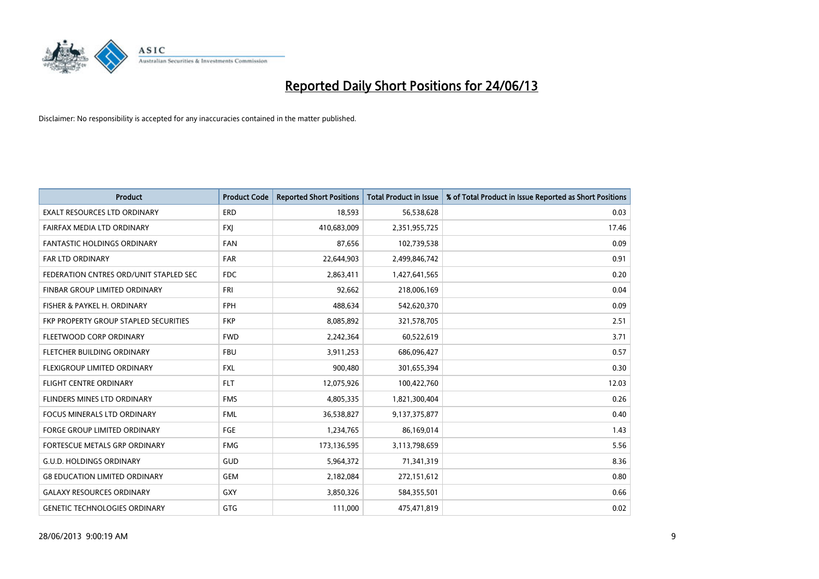

| <b>Product</b>                         | <b>Product Code</b> | <b>Reported Short Positions</b> | <b>Total Product in Issue</b> | % of Total Product in Issue Reported as Short Positions |
|----------------------------------------|---------------------|---------------------------------|-------------------------------|---------------------------------------------------------|
| <b>EXALT RESOURCES LTD ORDINARY</b>    | <b>ERD</b>          | 18,593                          | 56,538,628                    | 0.03                                                    |
| FAIRFAX MEDIA LTD ORDINARY             | <b>FXI</b>          | 410,683,009                     | 2,351,955,725                 | 17.46                                                   |
| <b>FANTASTIC HOLDINGS ORDINARY</b>     | <b>FAN</b>          | 87,656                          | 102,739,538                   | 0.09                                                    |
| <b>FAR LTD ORDINARY</b>                | <b>FAR</b>          | 22,644,903                      | 2,499,846,742                 | 0.91                                                    |
| FEDERATION CNTRES ORD/UNIT STAPLED SEC | <b>FDC</b>          | 2,863,411                       | 1,427,641,565                 | 0.20                                                    |
| FINBAR GROUP LIMITED ORDINARY          | <b>FRI</b>          | 92,662                          | 218,006,169                   | 0.04                                                    |
| FISHER & PAYKEL H. ORDINARY            | <b>FPH</b>          | 488,634                         | 542,620,370                   | 0.09                                                    |
| FKP PROPERTY GROUP STAPLED SECURITIES  | <b>FKP</b>          | 8,085,892                       | 321,578,705                   | 2.51                                                    |
| FLEETWOOD CORP ORDINARY                | <b>FWD</b>          | 2,242,364                       | 60,522,619                    | 3.71                                                    |
| FLETCHER BUILDING ORDINARY             | <b>FBU</b>          | 3,911,253                       | 686,096,427                   | 0.57                                                    |
| FLEXIGROUP LIMITED ORDINARY            | <b>FXL</b>          | 900,480                         | 301,655,394                   | 0.30                                                    |
| <b>FLIGHT CENTRE ORDINARY</b>          | <b>FLT</b>          | 12,075,926                      | 100,422,760                   | 12.03                                                   |
| FLINDERS MINES LTD ORDINARY            | <b>FMS</b>          | 4,805,335                       | 1,821,300,404                 | 0.26                                                    |
| <b>FOCUS MINERALS LTD ORDINARY</b>     | <b>FML</b>          | 36,538,827                      | 9,137,375,877                 | 0.40                                                    |
| <b>FORGE GROUP LIMITED ORDINARY</b>    | FGE                 | 1,234,765                       | 86,169,014                    | 1.43                                                    |
| FORTESCUE METALS GRP ORDINARY          | <b>FMG</b>          | 173,136,595                     | 3,113,798,659                 | 5.56                                                    |
| <b>G.U.D. HOLDINGS ORDINARY</b>        | GUD                 | 5,964,372                       | 71,341,319                    | 8.36                                                    |
| <b>G8 EDUCATION LIMITED ORDINARY</b>   | <b>GEM</b>          | 2,182,084                       | 272,151,612                   | 0.80                                                    |
| <b>GALAXY RESOURCES ORDINARY</b>       | GXY                 | 3,850,326                       | 584,355,501                   | 0.66                                                    |
| <b>GENETIC TECHNOLOGIES ORDINARY</b>   | GTG                 | 111,000                         | 475,471,819                   | 0.02                                                    |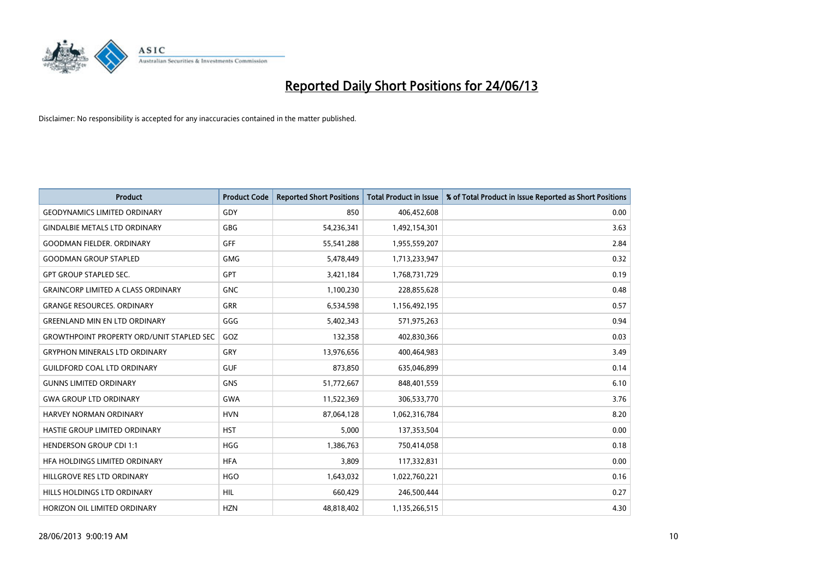

| <b>Product</b>                                   | <b>Product Code</b> | <b>Reported Short Positions</b> | <b>Total Product in Issue</b> | % of Total Product in Issue Reported as Short Positions |
|--------------------------------------------------|---------------------|---------------------------------|-------------------------------|---------------------------------------------------------|
| <b>GEODYNAMICS LIMITED ORDINARY</b>              | GDY                 | 850                             | 406,452,608                   | 0.00                                                    |
| <b>GINDALBIE METALS LTD ORDINARY</b>             | <b>GBG</b>          | 54,236,341                      | 1,492,154,301                 | 3.63                                                    |
| <b>GOODMAN FIELDER, ORDINARY</b>                 | GFF                 | 55,541,288                      | 1,955,559,207                 | 2.84                                                    |
| <b>GOODMAN GROUP STAPLED</b>                     | <b>GMG</b>          | 5,478,449                       | 1,713,233,947                 | 0.32                                                    |
| <b>GPT GROUP STAPLED SEC.</b>                    | <b>GPT</b>          | 3,421,184                       | 1,768,731,729                 | 0.19                                                    |
| <b>GRAINCORP LIMITED A CLASS ORDINARY</b>        | <b>GNC</b>          | 1,100,230                       | 228,855,628                   | 0.48                                                    |
| <b>GRANGE RESOURCES, ORDINARY</b>                | GRR                 | 6,534,598                       | 1,156,492,195                 | 0.57                                                    |
| <b>GREENLAND MIN EN LTD ORDINARY</b>             | GGG                 | 5,402,343                       | 571,975,263                   | 0.94                                                    |
| <b>GROWTHPOINT PROPERTY ORD/UNIT STAPLED SEC</b> | GOZ                 | 132,358                         | 402,830,366                   | 0.03                                                    |
| <b>GRYPHON MINERALS LTD ORDINARY</b>             | GRY                 | 13,976,656                      | 400,464,983                   | 3.49                                                    |
| <b>GUILDFORD COAL LTD ORDINARY</b>               | <b>GUF</b>          | 873,850                         | 635,046,899                   | 0.14                                                    |
| <b>GUNNS LIMITED ORDINARY</b>                    | <b>GNS</b>          | 51,772,667                      | 848,401,559                   | 6.10                                                    |
| <b>GWA GROUP LTD ORDINARY</b>                    | GWA                 | 11,522,369                      | 306,533,770                   | 3.76                                                    |
| HARVEY NORMAN ORDINARY                           | <b>HVN</b>          | 87,064,128                      | 1,062,316,784                 | 8.20                                                    |
| HASTIE GROUP LIMITED ORDINARY                    | <b>HST</b>          | 5,000                           | 137,353,504                   | 0.00                                                    |
| <b>HENDERSON GROUP CDI 1:1</b>                   | <b>HGG</b>          | 1,386,763                       | 750,414,058                   | 0.18                                                    |
| HFA HOLDINGS LIMITED ORDINARY                    | <b>HFA</b>          | 3,809                           | 117,332,831                   | 0.00                                                    |
| HILLGROVE RES LTD ORDINARY                       | <b>HGO</b>          | 1,643,032                       | 1,022,760,221                 | 0.16                                                    |
| HILLS HOLDINGS LTD ORDINARY                      | <b>HIL</b>          | 660,429                         | 246,500,444                   | 0.27                                                    |
| HORIZON OIL LIMITED ORDINARY                     | <b>HZN</b>          | 48,818,402                      | 1,135,266,515                 | 4.30                                                    |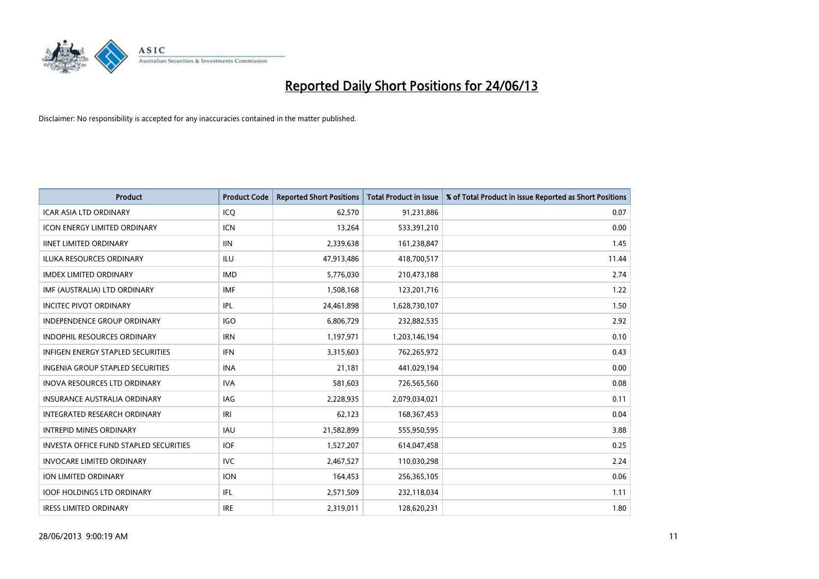

| <b>Product</b>                           | <b>Product Code</b> | <b>Reported Short Positions</b> | <b>Total Product in Issue</b> | % of Total Product in Issue Reported as Short Positions |
|------------------------------------------|---------------------|---------------------------------|-------------------------------|---------------------------------------------------------|
| <b>ICAR ASIA LTD ORDINARY</b>            | ICQ                 | 62,570                          | 91,231,886                    | 0.07                                                    |
| ICON ENERGY LIMITED ORDINARY             | <b>ICN</b>          | 13,264                          | 533,391,210                   | 0.00                                                    |
| <b>IINET LIMITED ORDINARY</b>            | <b>IIN</b>          | 2,339,638                       | 161,238,847                   | 1.45                                                    |
| ILUKA RESOURCES ORDINARY                 | ILU                 | 47,913,486                      | 418,700,517                   | 11.44                                                   |
| <b>IMDEX LIMITED ORDINARY</b>            | <b>IMD</b>          | 5,776,030                       | 210,473,188                   | 2.74                                                    |
| IMF (AUSTRALIA) LTD ORDINARY             | <b>IMF</b>          | 1,508,168                       | 123,201,716                   | 1.22                                                    |
| <b>INCITEC PIVOT ORDINARY</b>            | IPL                 | 24,461,898                      | 1,628,730,107                 | 1.50                                                    |
| INDEPENDENCE GROUP ORDINARY              | <b>IGO</b>          | 6,806,729                       | 232,882,535                   | 2.92                                                    |
| <b>INDOPHIL RESOURCES ORDINARY</b>       | <b>IRN</b>          | 1,197,971                       | 1,203,146,194                 | 0.10                                                    |
| <b>INFIGEN ENERGY STAPLED SECURITIES</b> | <b>IFN</b>          | 3,315,603                       | 762,265,972                   | 0.43                                                    |
| INGENIA GROUP STAPLED SECURITIES         | <b>INA</b>          | 21,181                          | 441,029,194                   | 0.00                                                    |
| <b>INOVA RESOURCES LTD ORDINARY</b>      | <b>IVA</b>          | 581,603                         | 726,565,560                   | 0.08                                                    |
| INSURANCE AUSTRALIA ORDINARY             | IAG                 | 2,228,935                       | 2,079,034,021                 | 0.11                                                    |
| INTEGRATED RESEARCH ORDINARY             | IRI                 | 62,123                          | 168, 367, 453                 | 0.04                                                    |
| <b>INTREPID MINES ORDINARY</b>           | <b>IAU</b>          | 21,582,899                      | 555,950,595                   | 3.88                                                    |
| INVESTA OFFICE FUND STAPLED SECURITIES   | <b>IOF</b>          | 1,527,207                       | 614,047,458                   | 0.25                                                    |
| <b>INVOCARE LIMITED ORDINARY</b>         | <b>IVC</b>          | 2,467,527                       | 110,030,298                   | 2.24                                                    |
| ION LIMITED ORDINARY                     | <b>ION</b>          | 164,453                         | 256,365,105                   | 0.06                                                    |
| <b>IOOF HOLDINGS LTD ORDINARY</b>        | IFL                 | 2,571,509                       | 232,118,034                   | 1.11                                                    |
| <b>IRESS LIMITED ORDINARY</b>            | <b>IRE</b>          | 2,319,011                       | 128,620,231                   | 1.80                                                    |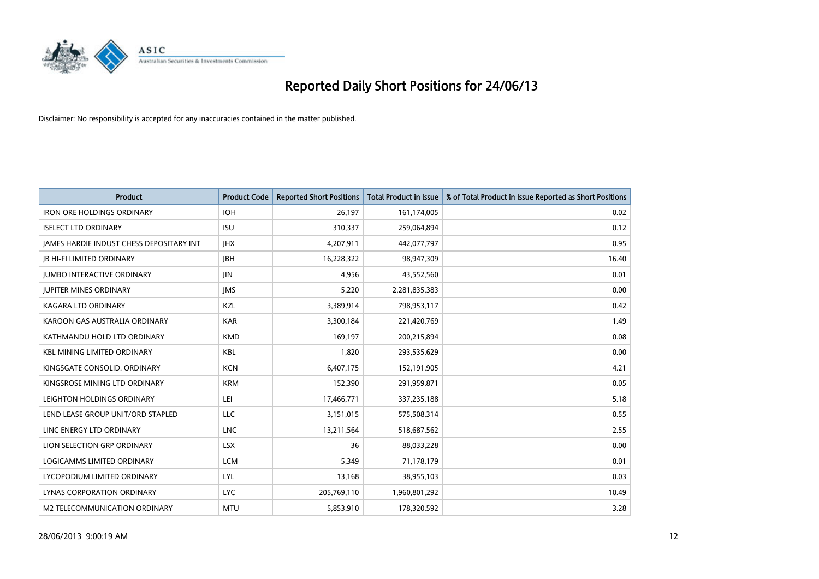

| <b>Product</b>                           | <b>Product Code</b> | <b>Reported Short Positions</b> | <b>Total Product in Issue</b> | % of Total Product in Issue Reported as Short Positions |
|------------------------------------------|---------------------|---------------------------------|-------------------------------|---------------------------------------------------------|
| <b>IRON ORE HOLDINGS ORDINARY</b>        | <b>IOH</b>          | 26,197                          | 161,174,005                   | 0.02                                                    |
| <b>ISELECT LTD ORDINARY</b>              | <b>ISU</b>          | 310,337                         | 259,064,894                   | 0.12                                                    |
| JAMES HARDIE INDUST CHESS DEPOSITARY INT | <b>IHX</b>          | 4,207,911                       | 442,077,797                   | 0.95                                                    |
| <b>JB HI-FI LIMITED ORDINARY</b>         | <b>JBH</b>          | 16,228,322                      | 98,947,309                    | 16.40                                                   |
| <b>JUMBO INTERACTIVE ORDINARY</b>        | <b>JIN</b>          | 4,956                           | 43,552,560                    | 0.01                                                    |
| <b>JUPITER MINES ORDINARY</b>            | <b>IMS</b>          | 5,220                           | 2,281,835,383                 | 0.00                                                    |
| <b>KAGARA LTD ORDINARY</b>               | KZL                 | 3,389,914                       | 798,953,117                   | 0.42                                                    |
| KAROON GAS AUSTRALIA ORDINARY            | <b>KAR</b>          | 3,300,184                       | 221,420,769                   | 1.49                                                    |
| KATHMANDU HOLD LTD ORDINARY              | <b>KMD</b>          | 169,197                         | 200,215,894                   | 0.08                                                    |
| <b>KBL MINING LIMITED ORDINARY</b>       | <b>KBL</b>          | 1,820                           | 293,535,629                   | 0.00                                                    |
| KINGSGATE CONSOLID. ORDINARY             | <b>KCN</b>          | 6,407,175                       | 152,191,905                   | 4.21                                                    |
| KINGSROSE MINING LTD ORDINARY            | <b>KRM</b>          | 152,390                         | 291,959,871                   | 0.05                                                    |
| LEIGHTON HOLDINGS ORDINARY               | LEI                 | 17,466,771                      | 337,235,188                   | 5.18                                                    |
| LEND LEASE GROUP UNIT/ORD STAPLED        | LLC                 | 3,151,015                       | 575,508,314                   | 0.55                                                    |
| LINC ENERGY LTD ORDINARY                 | <b>LNC</b>          | 13,211,564                      | 518,687,562                   | 2.55                                                    |
| LION SELECTION GRP ORDINARY              | <b>LSX</b>          | 36                              | 88,033,228                    | 0.00                                                    |
| LOGICAMMS LIMITED ORDINARY               | <b>LCM</b>          | 5,349                           | 71,178,179                    | 0.01                                                    |
| LYCOPODIUM LIMITED ORDINARY              | <b>LYL</b>          | 13,168                          | 38,955,103                    | 0.03                                                    |
| LYNAS CORPORATION ORDINARY               | <b>LYC</b>          | 205,769,110                     | 1,960,801,292                 | 10.49                                                   |
| M2 TELECOMMUNICATION ORDINARY            | <b>MTU</b>          | 5,853,910                       | 178,320,592                   | 3.28                                                    |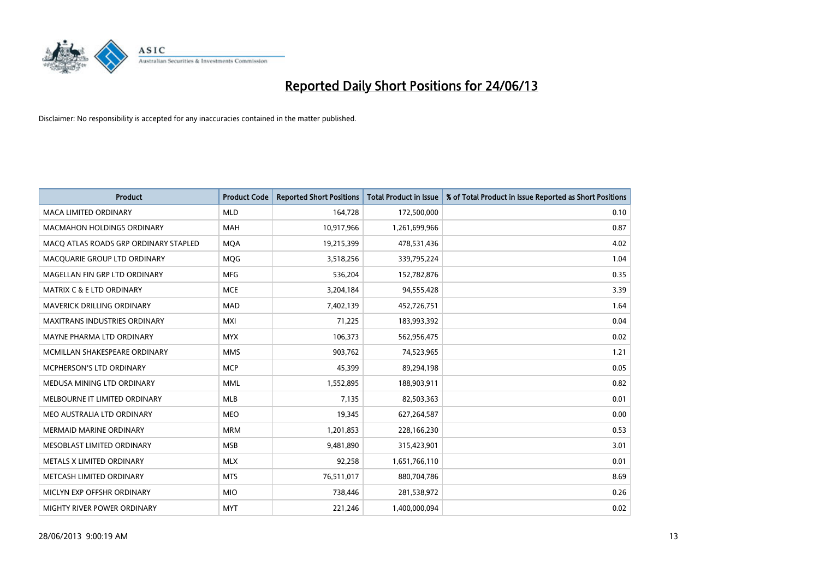

| <b>Product</b>                        | <b>Product Code</b> | <b>Reported Short Positions</b> | <b>Total Product in Issue</b> | % of Total Product in Issue Reported as Short Positions |
|---------------------------------------|---------------------|---------------------------------|-------------------------------|---------------------------------------------------------|
| <b>MACA LIMITED ORDINARY</b>          | <b>MLD</b>          | 164,728                         | 172,500,000                   | 0.10                                                    |
| <b>MACMAHON HOLDINGS ORDINARY</b>     | <b>MAH</b>          | 10,917,966                      | 1,261,699,966                 | 0.87                                                    |
| MACO ATLAS ROADS GRP ORDINARY STAPLED | <b>MOA</b>          | 19,215,399                      | 478,531,436                   | 4.02                                                    |
| MACQUARIE GROUP LTD ORDINARY          | <b>MQG</b>          | 3,518,256                       | 339,795,224                   | 1.04                                                    |
| MAGELLAN FIN GRP LTD ORDINARY         | <b>MFG</b>          | 536,204                         | 152,782,876                   | 0.35                                                    |
| <b>MATRIX C &amp; E LTD ORDINARY</b>  | <b>MCE</b>          | 3,204,184                       | 94,555,428                    | 3.39                                                    |
| <b>MAVERICK DRILLING ORDINARY</b>     | <b>MAD</b>          | 7,402,139                       | 452,726,751                   | 1.64                                                    |
| MAXITRANS INDUSTRIES ORDINARY         | <b>MXI</b>          | 71,225                          | 183,993,392                   | 0.04                                                    |
| MAYNE PHARMA LTD ORDINARY             | <b>MYX</b>          | 106,373                         | 562,956,475                   | 0.02                                                    |
| MCMILLAN SHAKESPEARE ORDINARY         | <b>MMS</b>          | 903,762                         | 74,523,965                    | 1.21                                                    |
| MCPHERSON'S LTD ORDINARY              | <b>MCP</b>          | 45,399                          | 89,294,198                    | 0.05                                                    |
| MEDUSA MINING LTD ORDINARY            | <b>MML</b>          | 1,552,895                       | 188,903,911                   | 0.82                                                    |
| MELBOURNE IT LIMITED ORDINARY         | <b>MLB</b>          | 7,135                           | 82,503,363                    | 0.01                                                    |
| MEO AUSTRALIA LTD ORDINARY            | <b>MEO</b>          | 19,345                          | 627,264,587                   | 0.00                                                    |
| <b>MERMAID MARINE ORDINARY</b>        | <b>MRM</b>          | 1,201,853                       | 228,166,230                   | 0.53                                                    |
| MESOBLAST LIMITED ORDINARY            | <b>MSB</b>          | 9,481,890                       | 315,423,901                   | 3.01                                                    |
| METALS X LIMITED ORDINARY             | <b>MLX</b>          | 92,258                          | 1,651,766,110                 | 0.01                                                    |
| METCASH LIMITED ORDINARY              | <b>MTS</b>          | 76,511,017                      | 880,704,786                   | 8.69                                                    |
| MICLYN EXP OFFSHR ORDINARY            | <b>MIO</b>          | 738,446                         | 281,538,972                   | 0.26                                                    |
| MIGHTY RIVER POWER ORDINARY           | <b>MYT</b>          | 221,246                         | 1,400,000,094                 | 0.02                                                    |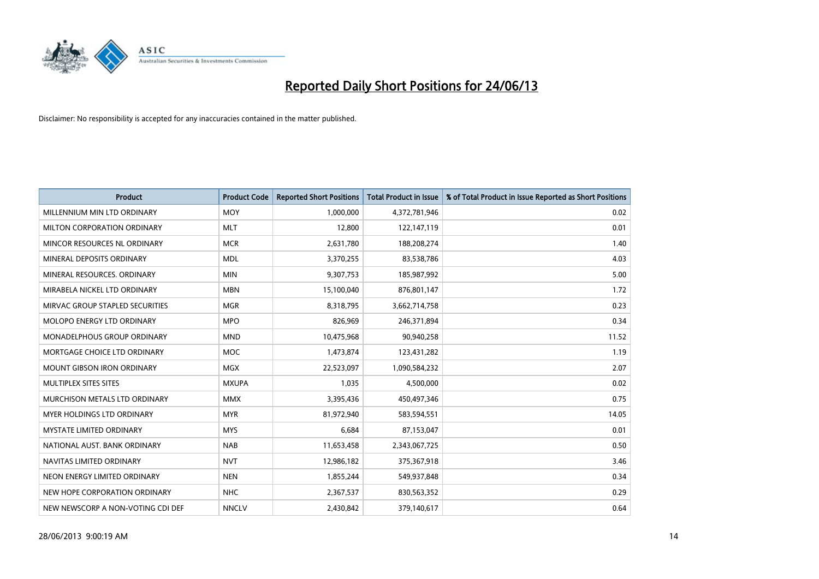

| <b>Product</b>                    | <b>Product Code</b> | <b>Reported Short Positions</b> | <b>Total Product in Issue</b> | % of Total Product in Issue Reported as Short Positions |
|-----------------------------------|---------------------|---------------------------------|-------------------------------|---------------------------------------------------------|
| MILLENNIUM MIN LTD ORDINARY       | <b>MOY</b>          | 1,000,000                       | 4,372,781,946                 | 0.02                                                    |
| MILTON CORPORATION ORDINARY       | <b>MLT</b>          | 12,800                          | 122,147,119                   | 0.01                                                    |
| MINCOR RESOURCES NL ORDINARY      | <b>MCR</b>          | 2,631,780                       | 188,208,274                   | 1.40                                                    |
| MINERAL DEPOSITS ORDINARY         | <b>MDL</b>          | 3,370,255                       | 83,538,786                    | 4.03                                                    |
| MINERAL RESOURCES, ORDINARY       | <b>MIN</b>          | 9,307,753                       | 185,987,992                   | 5.00                                                    |
| MIRABELA NICKEL LTD ORDINARY      | <b>MBN</b>          | 15,100,040                      | 876,801,147                   | 1.72                                                    |
| MIRVAC GROUP STAPLED SECURITIES   | <b>MGR</b>          | 8,318,795                       | 3,662,714,758                 | 0.23                                                    |
| MOLOPO ENERGY LTD ORDINARY        | <b>MPO</b>          | 826,969                         | 246,371,894                   | 0.34                                                    |
| MONADELPHOUS GROUP ORDINARY       | <b>MND</b>          | 10,475,968                      | 90,940,258                    | 11.52                                                   |
| MORTGAGE CHOICE LTD ORDINARY      | <b>MOC</b>          | 1,473,874                       | 123,431,282                   | 1.19                                                    |
| MOUNT GIBSON IRON ORDINARY        | <b>MGX</b>          | 22,523,097                      | 1,090,584,232                 | 2.07                                                    |
| MULTIPLEX SITES SITES             | <b>MXUPA</b>        | 1,035                           | 4,500,000                     | 0.02                                                    |
| MURCHISON METALS LTD ORDINARY     | <b>MMX</b>          | 3,395,436                       | 450,497,346                   | 0.75                                                    |
| <b>MYER HOLDINGS LTD ORDINARY</b> | <b>MYR</b>          | 81,972,940                      | 583,594,551                   | 14.05                                                   |
| <b>MYSTATE LIMITED ORDINARY</b>   | <b>MYS</b>          | 6,684                           | 87,153,047                    | 0.01                                                    |
| NATIONAL AUST. BANK ORDINARY      | <b>NAB</b>          | 11,653,458                      | 2,343,067,725                 | 0.50                                                    |
| NAVITAS LIMITED ORDINARY          | <b>NVT</b>          | 12,986,182                      | 375,367,918                   | 3.46                                                    |
| NEON ENERGY LIMITED ORDINARY      | <b>NEN</b>          | 1,855,244                       | 549,937,848                   | 0.34                                                    |
| NEW HOPE CORPORATION ORDINARY     | <b>NHC</b>          | 2,367,537                       | 830,563,352                   | 0.29                                                    |
| NEW NEWSCORP A NON-VOTING CDI DEF | <b>NNCLV</b>        | 2,430,842                       | 379,140,617                   | 0.64                                                    |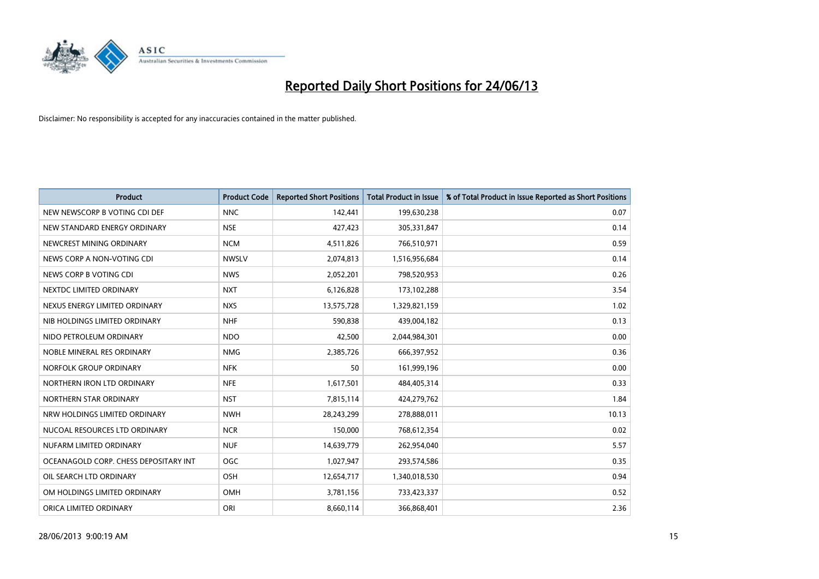

| <b>Product</b>                        | <b>Product Code</b> | <b>Reported Short Positions</b> | <b>Total Product in Issue</b> | % of Total Product in Issue Reported as Short Positions |
|---------------------------------------|---------------------|---------------------------------|-------------------------------|---------------------------------------------------------|
| NEW NEWSCORP B VOTING CDI DEF         | <b>NNC</b>          | 142,441                         | 199,630,238                   | 0.07                                                    |
| NEW STANDARD ENERGY ORDINARY          | <b>NSE</b>          | 427,423                         | 305,331,847                   | 0.14                                                    |
| NEWCREST MINING ORDINARY              | <b>NCM</b>          | 4,511,826                       | 766,510,971                   | 0.59                                                    |
| NEWS CORP A NON-VOTING CDI            | <b>NWSLV</b>        | 2,074,813                       | 1,516,956,684                 | 0.14                                                    |
| NEWS CORP B VOTING CDI                | <b>NWS</b>          | 2,052,201                       | 798,520,953                   | 0.26                                                    |
| NEXTDC LIMITED ORDINARY               | <b>NXT</b>          | 6,126,828                       | 173,102,288                   | 3.54                                                    |
| NEXUS ENERGY LIMITED ORDINARY         | <b>NXS</b>          | 13,575,728                      | 1,329,821,159                 | 1.02                                                    |
| NIB HOLDINGS LIMITED ORDINARY         | <b>NHF</b>          | 590,838                         | 439,004,182                   | 0.13                                                    |
| NIDO PETROLEUM ORDINARY               | <b>NDO</b>          | 42,500                          | 2,044,984,301                 | 0.00                                                    |
| NOBLE MINERAL RES ORDINARY            | <b>NMG</b>          | 2,385,726                       | 666,397,952                   | 0.36                                                    |
| NORFOLK GROUP ORDINARY                | <b>NFK</b>          | 50                              | 161,999,196                   | 0.00                                                    |
| NORTHERN IRON LTD ORDINARY            | <b>NFE</b>          | 1,617,501                       | 484,405,314                   | 0.33                                                    |
| NORTHERN STAR ORDINARY                | <b>NST</b>          | 7,815,114                       | 424,279,762                   | 1.84                                                    |
| NRW HOLDINGS LIMITED ORDINARY         | <b>NWH</b>          | 28,243,299                      | 278,888,011                   | 10.13                                                   |
| NUCOAL RESOURCES LTD ORDINARY         | <b>NCR</b>          | 150,000                         | 768,612,354                   | 0.02                                                    |
| NUFARM LIMITED ORDINARY               | <b>NUF</b>          | 14,639,779                      | 262,954,040                   | 5.57                                                    |
| OCEANAGOLD CORP. CHESS DEPOSITARY INT | <b>OGC</b>          | 1,027,947                       | 293,574,586                   | 0.35                                                    |
| OIL SEARCH LTD ORDINARY               | OSH                 | 12,654,717                      | 1,340,018,530                 | 0.94                                                    |
| OM HOLDINGS LIMITED ORDINARY          | OMH                 | 3,781,156                       | 733,423,337                   | 0.52                                                    |
| ORICA LIMITED ORDINARY                | ORI                 | 8,660,114                       | 366,868,401                   | 2.36                                                    |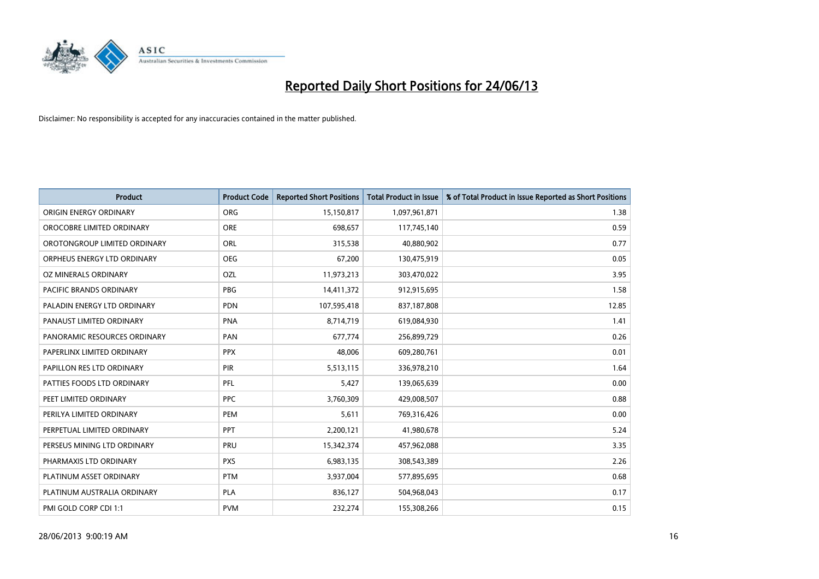

| <b>Product</b>               | <b>Product Code</b> | <b>Reported Short Positions</b> | <b>Total Product in Issue</b> | % of Total Product in Issue Reported as Short Positions |
|------------------------------|---------------------|---------------------------------|-------------------------------|---------------------------------------------------------|
| ORIGIN ENERGY ORDINARY       | ORG                 | 15,150,817                      | 1,097,961,871                 | 1.38                                                    |
| OROCOBRE LIMITED ORDINARY    | <b>ORE</b>          | 698,657                         | 117,745,140                   | 0.59                                                    |
| OROTONGROUP LIMITED ORDINARY | ORL                 | 315,538                         | 40,880,902                    | 0.77                                                    |
| ORPHEUS ENERGY LTD ORDINARY  | <b>OEG</b>          | 67,200                          | 130,475,919                   | 0.05                                                    |
| OZ MINERALS ORDINARY         | OZL                 | 11,973,213                      | 303,470,022                   | 3.95                                                    |
| PACIFIC BRANDS ORDINARY      | <b>PBG</b>          | 14,411,372                      | 912,915,695                   | 1.58                                                    |
| PALADIN ENERGY LTD ORDINARY  | <b>PDN</b>          | 107,595,418                     | 837,187,808                   | 12.85                                                   |
| PANAUST LIMITED ORDINARY     | <b>PNA</b>          | 8,714,719                       | 619,084,930                   | 1.41                                                    |
| PANORAMIC RESOURCES ORDINARY | PAN                 | 677,774                         | 256,899,729                   | 0.26                                                    |
| PAPERLINX LIMITED ORDINARY   | <b>PPX</b>          | 48,006                          | 609,280,761                   | 0.01                                                    |
| PAPILLON RES LTD ORDINARY    | PIR                 | 5,513,115                       | 336,978,210                   | 1.64                                                    |
| PATTIES FOODS LTD ORDINARY   | PFL                 | 5,427                           | 139,065,639                   | 0.00                                                    |
| PEET LIMITED ORDINARY        | <b>PPC</b>          | 3,760,309                       | 429,008,507                   | 0.88                                                    |
| PERILYA LIMITED ORDINARY     | PEM                 | 5,611                           | 769,316,426                   | 0.00                                                    |
| PERPETUAL LIMITED ORDINARY   | PPT                 | 2,200,121                       | 41,980,678                    | 5.24                                                    |
| PERSEUS MINING LTD ORDINARY  | <b>PRU</b>          | 15,342,374                      | 457,962,088                   | 3.35                                                    |
| PHARMAXIS LTD ORDINARY       | <b>PXS</b>          | 6,983,135                       | 308,543,389                   | 2.26                                                    |
| PLATINUM ASSET ORDINARY      | <b>PTM</b>          | 3,937,004                       | 577,895,695                   | 0.68                                                    |
| PLATINUM AUSTRALIA ORDINARY  | <b>PLA</b>          | 836,127                         | 504,968,043                   | 0.17                                                    |
| PMI GOLD CORP CDI 1:1        | <b>PVM</b>          | 232,274                         | 155,308,266                   | 0.15                                                    |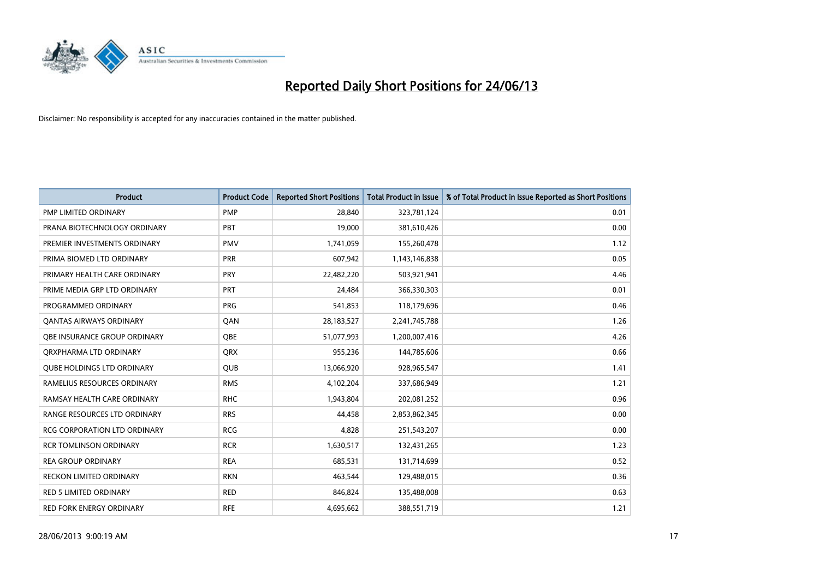

| <b>Product</b>                      | <b>Product Code</b> | <b>Reported Short Positions</b> | <b>Total Product in Issue</b> | % of Total Product in Issue Reported as Short Positions |
|-------------------------------------|---------------------|---------------------------------|-------------------------------|---------------------------------------------------------|
| PMP LIMITED ORDINARY                | <b>PMP</b>          | 28,840                          | 323,781,124                   | 0.01                                                    |
| PRANA BIOTECHNOLOGY ORDINARY        | <b>PBT</b>          | 19,000                          | 381,610,426                   | 0.00                                                    |
| PREMIER INVESTMENTS ORDINARY        | <b>PMV</b>          | 1,741,059                       | 155,260,478                   | 1.12                                                    |
| PRIMA BIOMED LTD ORDINARY           | <b>PRR</b>          | 607,942                         | 1,143,146,838                 | 0.05                                                    |
| PRIMARY HEALTH CARE ORDINARY        | <b>PRY</b>          | 22,482,220                      | 503,921,941                   | 4.46                                                    |
| PRIME MEDIA GRP LTD ORDINARY        | PRT                 | 24,484                          | 366,330,303                   | 0.01                                                    |
| PROGRAMMED ORDINARY                 | <b>PRG</b>          | 541,853                         | 118,179,696                   | 0.46                                                    |
| <b>QANTAS AIRWAYS ORDINARY</b>      | QAN                 | 28,183,527                      | 2,241,745,788                 | 1.26                                                    |
| OBE INSURANCE GROUP ORDINARY        | <b>OBE</b>          | 51,077,993                      | 1,200,007,416                 | 4.26                                                    |
| ORXPHARMA LTD ORDINARY              | <b>QRX</b>          | 955,236                         | 144,785,606                   | 0.66                                                    |
| <b>QUBE HOLDINGS LTD ORDINARY</b>   | QUB                 | 13,066,920                      | 928,965,547                   | 1.41                                                    |
| RAMELIUS RESOURCES ORDINARY         | <b>RMS</b>          | 4,102,204                       | 337,686,949                   | 1.21                                                    |
| RAMSAY HEALTH CARE ORDINARY         | <b>RHC</b>          | 1,943,804                       | 202,081,252                   | 0.96                                                    |
| RANGE RESOURCES LTD ORDINARY        | <b>RRS</b>          | 44,458                          | 2,853,862,345                 | 0.00                                                    |
| <b>RCG CORPORATION LTD ORDINARY</b> | <b>RCG</b>          | 4,828                           | 251,543,207                   | 0.00                                                    |
| <b>RCR TOMLINSON ORDINARY</b>       | <b>RCR</b>          | 1,630,517                       | 132,431,265                   | 1.23                                                    |
| <b>REA GROUP ORDINARY</b>           | <b>REA</b>          | 685,531                         | 131,714,699                   | 0.52                                                    |
| RECKON LIMITED ORDINARY             | <b>RKN</b>          | 463,544                         | 129,488,015                   | 0.36                                                    |
| <b>RED 5 LIMITED ORDINARY</b>       | <b>RED</b>          | 846,824                         | 135,488,008                   | 0.63                                                    |
| RED FORK ENERGY ORDINARY            | <b>RFE</b>          | 4,695,662                       | 388,551,719                   | 1.21                                                    |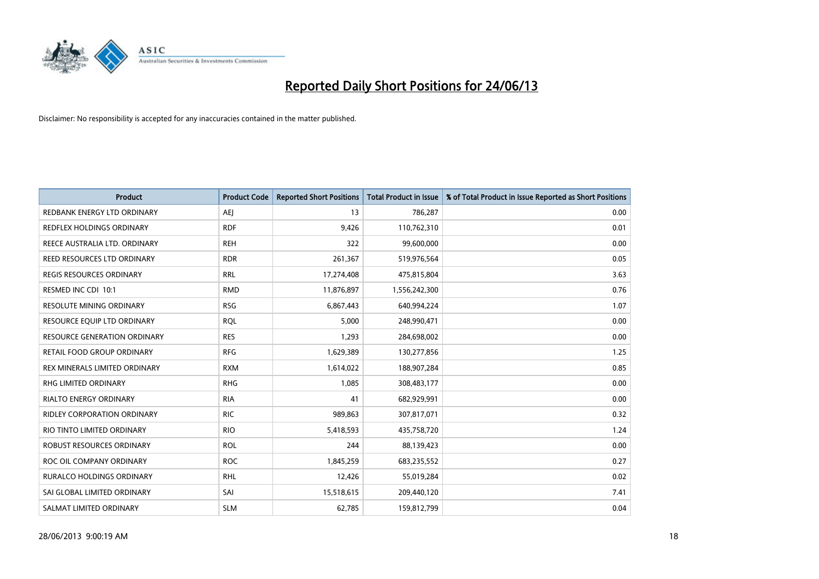

| Product                            | <b>Product Code</b> | <b>Reported Short Positions</b> | <b>Total Product in Issue</b> | % of Total Product in Issue Reported as Short Positions |
|------------------------------------|---------------------|---------------------------------|-------------------------------|---------------------------------------------------------|
| REDBANK ENERGY LTD ORDINARY        | <b>AEJ</b>          | 13                              | 786,287                       | 0.00                                                    |
| <b>REDFLEX HOLDINGS ORDINARY</b>   | <b>RDF</b>          | 9,426                           | 110,762,310                   | 0.01                                                    |
| REECE AUSTRALIA LTD. ORDINARY      | <b>REH</b>          | 322                             | 99,600,000                    | 0.00                                                    |
| REED RESOURCES LTD ORDINARY        | <b>RDR</b>          | 261,367                         | 519,976,564                   | 0.05                                                    |
| <b>REGIS RESOURCES ORDINARY</b>    | <b>RRL</b>          | 17,274,408                      | 475,815,804                   | 3.63                                                    |
| RESMED INC CDI 10:1                | <b>RMD</b>          | 11,876,897                      | 1,556,242,300                 | 0.76                                                    |
| <b>RESOLUTE MINING ORDINARY</b>    | <b>RSG</b>          | 6,867,443                       | 640,994,224                   | 1.07                                                    |
| RESOURCE EQUIP LTD ORDINARY        | <b>RQL</b>          | 5,000                           | 248,990,471                   | 0.00                                                    |
| RESOURCE GENERATION ORDINARY       | <b>RES</b>          | 1,293                           | 284,698,002                   | 0.00                                                    |
| <b>RETAIL FOOD GROUP ORDINARY</b>  | <b>RFG</b>          | 1,629,389                       | 130,277,856                   | 1.25                                                    |
| REX MINERALS LIMITED ORDINARY      | <b>RXM</b>          | 1,614,022                       | 188,907,284                   | 0.85                                                    |
| RHG LIMITED ORDINARY               | <b>RHG</b>          | 1,085                           | 308,483,177                   | 0.00                                                    |
| RIALTO ENERGY ORDINARY             | <b>RIA</b>          | 41                              | 682,929,991                   | 0.00                                                    |
| <b>RIDLEY CORPORATION ORDINARY</b> | <b>RIC</b>          | 989,863                         | 307,817,071                   | 0.32                                                    |
| RIO TINTO LIMITED ORDINARY         | <b>RIO</b>          | 5,418,593                       | 435,758,720                   | 1.24                                                    |
| <b>ROBUST RESOURCES ORDINARY</b>   | <b>ROL</b>          | 244                             | 88,139,423                    | 0.00                                                    |
| ROC OIL COMPANY ORDINARY           | <b>ROC</b>          | 1,845,259                       | 683,235,552                   | 0.27                                                    |
| <b>RURALCO HOLDINGS ORDINARY</b>   | <b>RHL</b>          | 12,426                          | 55,019,284                    | 0.02                                                    |
| SAI GLOBAL LIMITED ORDINARY        | SAI                 | 15,518,615                      | 209,440,120                   | 7.41                                                    |
| SALMAT LIMITED ORDINARY            | <b>SLM</b>          | 62,785                          | 159,812,799                   | 0.04                                                    |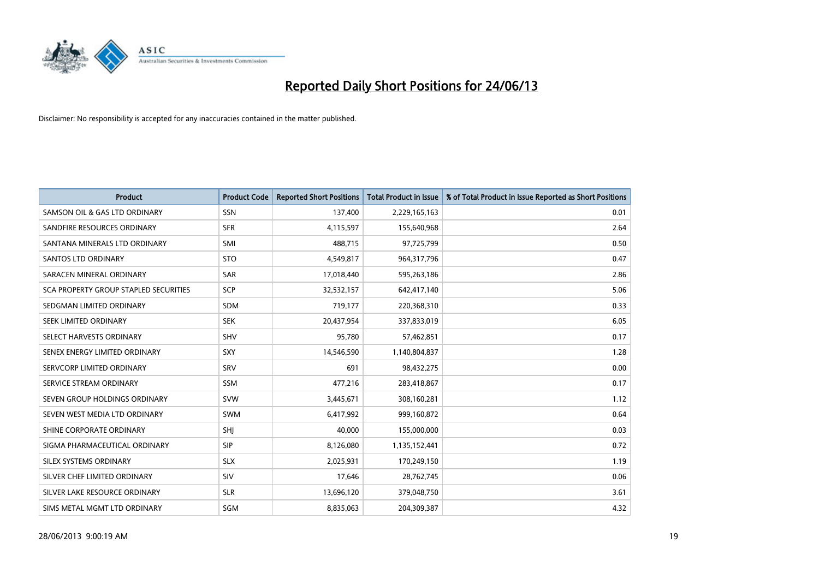

| <b>Product</b>                        | <b>Product Code</b> | <b>Reported Short Positions</b> | <b>Total Product in Issue</b> | % of Total Product in Issue Reported as Short Positions |
|---------------------------------------|---------------------|---------------------------------|-------------------------------|---------------------------------------------------------|
| SAMSON OIL & GAS LTD ORDINARY         | <b>SSN</b>          | 137,400                         | 2,229,165,163                 | 0.01                                                    |
| SANDFIRE RESOURCES ORDINARY           | <b>SFR</b>          | 4,115,597                       | 155,640,968                   | 2.64                                                    |
| SANTANA MINERALS LTD ORDINARY         | <b>SMI</b>          | 488,715                         | 97,725,799                    | 0.50                                                    |
| <b>SANTOS LTD ORDINARY</b>            | <b>STO</b>          | 4,549,817                       | 964,317,796                   | 0.47                                                    |
| SARACEN MINERAL ORDINARY              | <b>SAR</b>          | 17,018,440                      | 595,263,186                   | 2.86                                                    |
| SCA PROPERTY GROUP STAPLED SECURITIES | <b>SCP</b>          | 32,532,157                      | 642,417,140                   | 5.06                                                    |
| SEDGMAN LIMITED ORDINARY              | SDM                 | 719,177                         | 220,368,310                   | 0.33                                                    |
| SEEK LIMITED ORDINARY                 | <b>SEK</b>          | 20,437,954                      | 337,833,019                   | 6.05                                                    |
| SELECT HARVESTS ORDINARY              | <b>SHV</b>          | 95,780                          | 57,462,851                    | 0.17                                                    |
| SENEX ENERGY LIMITED ORDINARY         | <b>SXY</b>          | 14,546,590                      | 1,140,804,837                 | 1.28                                                    |
| SERVCORP LIMITED ORDINARY             | SRV                 | 691                             | 98,432,275                    | 0.00                                                    |
| SERVICE STREAM ORDINARY               | SSM                 | 477,216                         | 283,418,867                   | 0.17                                                    |
| SEVEN GROUP HOLDINGS ORDINARY         | <b>SVW</b>          | 3,445,671                       | 308,160,281                   | 1.12                                                    |
| SEVEN WEST MEDIA LTD ORDINARY         | <b>SWM</b>          | 6,417,992                       | 999,160,872                   | 0.64                                                    |
| SHINE CORPORATE ORDINARY              | SHJ                 | 40,000                          | 155,000,000                   | 0.03                                                    |
| SIGMA PHARMACEUTICAL ORDINARY         | <b>SIP</b>          | 8,126,080                       | 1,135,152,441                 | 0.72                                                    |
| SILEX SYSTEMS ORDINARY                | <b>SLX</b>          | 2,025,931                       | 170,249,150                   | 1.19                                                    |
| SILVER CHEF LIMITED ORDINARY          | SIV                 | 17,646                          | 28,762,745                    | 0.06                                                    |
| SILVER LAKE RESOURCE ORDINARY         | <b>SLR</b>          | 13,696,120                      | 379,048,750                   | 3.61                                                    |
| SIMS METAL MGMT LTD ORDINARY          | SGM                 | 8,835,063                       | 204,309,387                   | 4.32                                                    |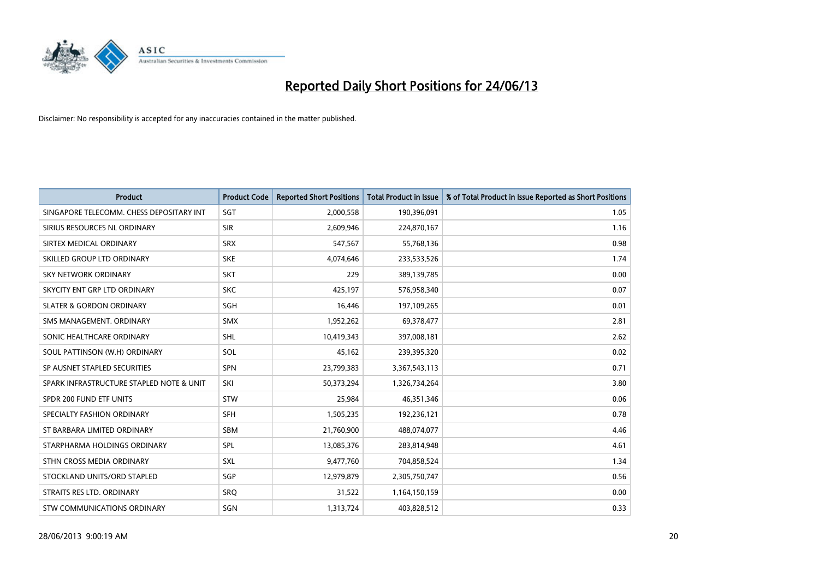

| <b>Product</b>                           | <b>Product Code</b> | <b>Reported Short Positions</b> | <b>Total Product in Issue</b> | % of Total Product in Issue Reported as Short Positions |
|------------------------------------------|---------------------|---------------------------------|-------------------------------|---------------------------------------------------------|
| SINGAPORE TELECOMM. CHESS DEPOSITARY INT | SGT                 | 2,000,558                       | 190,396,091                   | 1.05                                                    |
| SIRIUS RESOURCES NL ORDINARY             | <b>SIR</b>          | 2,609,946                       | 224,870,167                   | 1.16                                                    |
| SIRTEX MEDICAL ORDINARY                  | <b>SRX</b>          | 547,567                         | 55,768,136                    | 0.98                                                    |
| SKILLED GROUP LTD ORDINARY               | <b>SKE</b>          | 4,074,646                       | 233,533,526                   | 1.74                                                    |
| <b>SKY NETWORK ORDINARY</b>              | <b>SKT</b>          | 229                             | 389,139,785                   | 0.00                                                    |
| SKYCITY ENT GRP LTD ORDINARY             | <b>SKC</b>          | 425,197                         | 576,958,340                   | 0.07                                                    |
| <b>SLATER &amp; GORDON ORDINARY</b>      | SGH                 | 16,446                          | 197,109,265                   | 0.01                                                    |
| SMS MANAGEMENT, ORDINARY                 | <b>SMX</b>          | 1,952,262                       | 69,378,477                    | 2.81                                                    |
| SONIC HEALTHCARE ORDINARY                | <b>SHL</b>          | 10,419,343                      | 397,008,181                   | 2.62                                                    |
| SOUL PATTINSON (W.H) ORDINARY            | SOL                 | 45,162                          | 239,395,320                   | 0.02                                                    |
| SP AUSNET STAPLED SECURITIES             | <b>SPN</b>          | 23,799,383                      | 3,367,543,113                 | 0.71                                                    |
| SPARK INFRASTRUCTURE STAPLED NOTE & UNIT | SKI                 | 50,373,294                      | 1,326,734,264                 | 3.80                                                    |
| SPDR 200 FUND ETF UNITS                  | <b>STW</b>          | 25,984                          | 46,351,346                    | 0.06                                                    |
| SPECIALTY FASHION ORDINARY               | SFH                 | 1,505,235                       | 192,236,121                   | 0.78                                                    |
| ST BARBARA LIMITED ORDINARY              | <b>SBM</b>          | 21,760,900                      | 488,074,077                   | 4.46                                                    |
| STARPHARMA HOLDINGS ORDINARY             | SPL                 | 13,085,376                      | 283,814,948                   | 4.61                                                    |
| STHN CROSS MEDIA ORDINARY                | SXL                 | 9,477,760                       | 704,858,524                   | 1.34                                                    |
| STOCKLAND UNITS/ORD STAPLED              | SGP                 | 12,979,879                      | 2,305,750,747                 | 0.56                                                    |
| STRAITS RES LTD. ORDINARY                | SRQ                 | 31,522                          | 1,164,150,159                 | 0.00                                                    |
| STW COMMUNICATIONS ORDINARY              | <b>SGN</b>          | 1,313,724                       | 403,828,512                   | 0.33                                                    |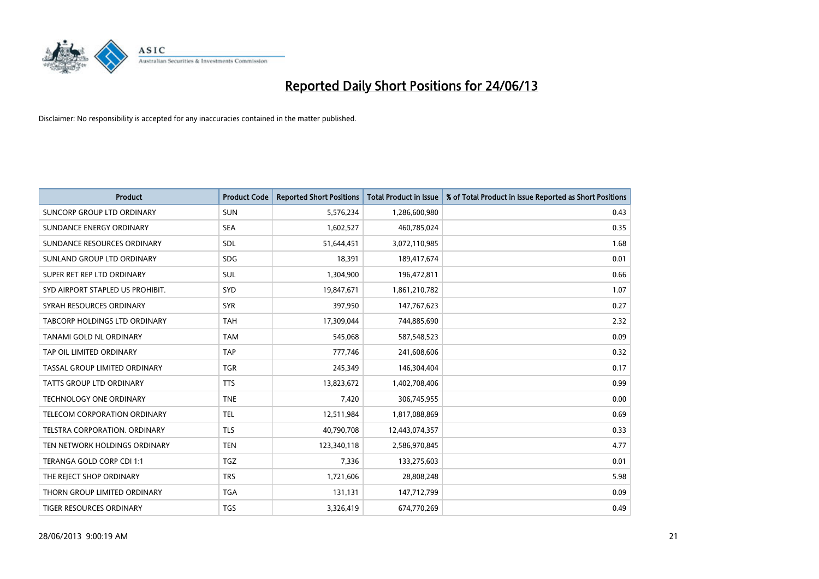

| <b>Product</b>                    | <b>Product Code</b> | <b>Reported Short Positions</b> | <b>Total Product in Issue</b> | % of Total Product in Issue Reported as Short Positions |
|-----------------------------------|---------------------|---------------------------------|-------------------------------|---------------------------------------------------------|
| <b>SUNCORP GROUP LTD ORDINARY</b> | <b>SUN</b>          | 5,576,234                       | 1,286,600,980                 | 0.43                                                    |
| SUNDANCE ENERGY ORDINARY          | <b>SEA</b>          | 1,602,527                       | 460,785,024                   | 0.35                                                    |
| SUNDANCE RESOURCES ORDINARY       | SDL                 | 51,644,451                      | 3,072,110,985                 | 1.68                                                    |
| SUNLAND GROUP LTD ORDINARY        | <b>SDG</b>          | 18,391                          | 189,417,674                   | 0.01                                                    |
| SUPER RET REP LTD ORDINARY        | SUL                 | 1,304,900                       | 196,472,811                   | 0.66                                                    |
| SYD AIRPORT STAPLED US PROHIBIT.  | <b>SYD</b>          | 19,847,671                      | 1,861,210,782                 | 1.07                                                    |
| SYRAH RESOURCES ORDINARY          | <b>SYR</b>          | 397,950                         | 147,767,623                   | 0.27                                                    |
| TABCORP HOLDINGS LTD ORDINARY     | <b>TAH</b>          | 17,309,044                      | 744,885,690                   | 2.32                                                    |
| TANAMI GOLD NL ORDINARY           | <b>TAM</b>          | 545,068                         | 587,548,523                   | 0.09                                                    |
| TAP OIL LIMITED ORDINARY          | <b>TAP</b>          | 777,746                         | 241,608,606                   | 0.32                                                    |
| TASSAL GROUP LIMITED ORDINARY     | <b>TGR</b>          | 245,349                         | 146,304,404                   | 0.17                                                    |
| <b>TATTS GROUP LTD ORDINARY</b>   | <b>TTS</b>          | 13,823,672                      | 1,402,708,406                 | 0.99                                                    |
| TECHNOLOGY ONE ORDINARY           | <b>TNE</b>          | 7,420                           | 306,745,955                   | 0.00                                                    |
| TELECOM CORPORATION ORDINARY      | <b>TEL</b>          | 12,511,984                      | 1,817,088,869                 | 0.69                                                    |
| TELSTRA CORPORATION. ORDINARY     | <b>TLS</b>          | 40,790,708                      | 12,443,074,357                | 0.33                                                    |
| TEN NETWORK HOLDINGS ORDINARY     | <b>TEN</b>          | 123,340,118                     | 2,586,970,845                 | 4.77                                                    |
| TERANGA GOLD CORP CDI 1:1         | <b>TGZ</b>          | 7,336                           | 133,275,603                   | 0.01                                                    |
| THE REJECT SHOP ORDINARY          | <b>TRS</b>          | 1,721,606                       | 28,808,248                    | 5.98                                                    |
| THORN GROUP LIMITED ORDINARY      | <b>TGA</b>          | 131,131                         | 147,712,799                   | 0.09                                                    |
| TIGER RESOURCES ORDINARY          | <b>TGS</b>          | 3,326,419                       | 674,770,269                   | 0.49                                                    |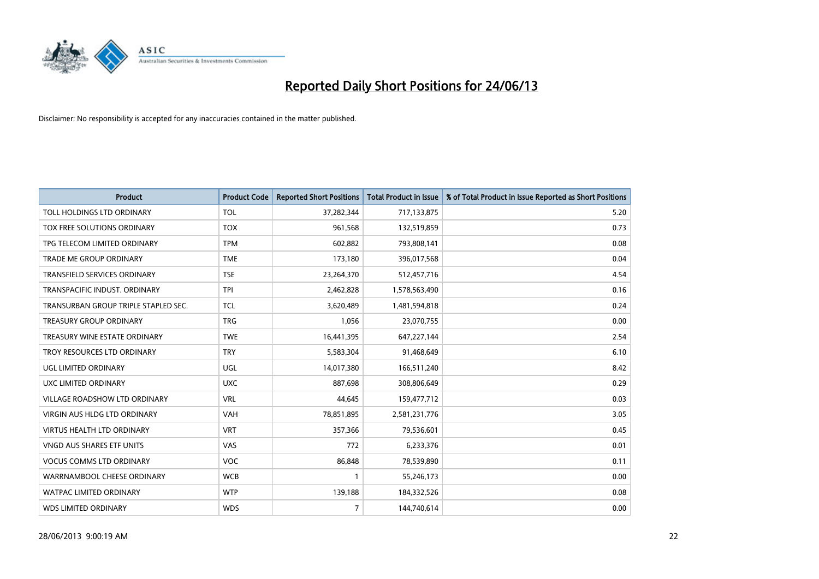

| <b>Product</b>                       | <b>Product Code</b> | <b>Reported Short Positions</b> | <b>Total Product in Issue</b> | % of Total Product in Issue Reported as Short Positions |
|--------------------------------------|---------------------|---------------------------------|-------------------------------|---------------------------------------------------------|
| TOLL HOLDINGS LTD ORDINARY           | <b>TOL</b>          | 37,282,344                      | 717,133,875                   | 5.20                                                    |
| TOX FREE SOLUTIONS ORDINARY          | <b>TOX</b>          | 961,568                         | 132,519,859                   | 0.73                                                    |
| TPG TELECOM LIMITED ORDINARY         | <b>TPM</b>          | 602,882                         | 793,808,141                   | 0.08                                                    |
| TRADE ME GROUP ORDINARY              | <b>TME</b>          | 173,180                         | 396,017,568                   | 0.04                                                    |
| TRANSFIELD SERVICES ORDINARY         | <b>TSE</b>          | 23,264,370                      | 512,457,716                   | 4.54                                                    |
| TRANSPACIFIC INDUST, ORDINARY        | <b>TPI</b>          | 2,462,828                       | 1,578,563,490                 | 0.16                                                    |
| TRANSURBAN GROUP TRIPLE STAPLED SEC. | <b>TCL</b>          | 3,620,489                       | 1,481,594,818                 | 0.24                                                    |
| TREASURY GROUP ORDINARY              | <b>TRG</b>          | 1,056                           | 23,070,755                    | 0.00                                                    |
| TREASURY WINE ESTATE ORDINARY        | <b>TWE</b>          | 16,441,395                      | 647,227,144                   | 2.54                                                    |
| TROY RESOURCES LTD ORDINARY          | <b>TRY</b>          | 5,583,304                       | 91,468,649                    | 6.10                                                    |
| UGL LIMITED ORDINARY                 | UGL                 | 14,017,380                      | 166,511,240                   | 8.42                                                    |
| UXC LIMITED ORDINARY                 | <b>UXC</b>          | 887,698                         | 308,806,649                   | 0.29                                                    |
| VILLAGE ROADSHOW LTD ORDINARY        | <b>VRL</b>          | 44,645                          | 159,477,712                   | 0.03                                                    |
| <b>VIRGIN AUS HLDG LTD ORDINARY</b>  | <b>VAH</b>          | 78,851,895                      | 2,581,231,776                 | 3.05                                                    |
| <b>VIRTUS HEALTH LTD ORDINARY</b>    | <b>VRT</b>          | 357,366                         | 79,536,601                    | 0.45                                                    |
| VNGD AUS SHARES ETF UNITS            | <b>VAS</b>          | 772                             | 6,233,376                     | 0.01                                                    |
| VOCUS COMMS LTD ORDINARY             | VOC                 | 86,848                          | 78,539,890                    | 0.11                                                    |
| WARRNAMBOOL CHEESE ORDINARY          | <b>WCB</b>          | 1                               | 55,246,173                    | 0.00                                                    |
| <b>WATPAC LIMITED ORDINARY</b>       | <b>WTP</b>          | 139,188                         | 184,332,526                   | 0.08                                                    |
| <b>WDS LIMITED ORDINARY</b>          | <b>WDS</b>          | $\overline{7}$                  | 144,740,614                   | 0.00                                                    |